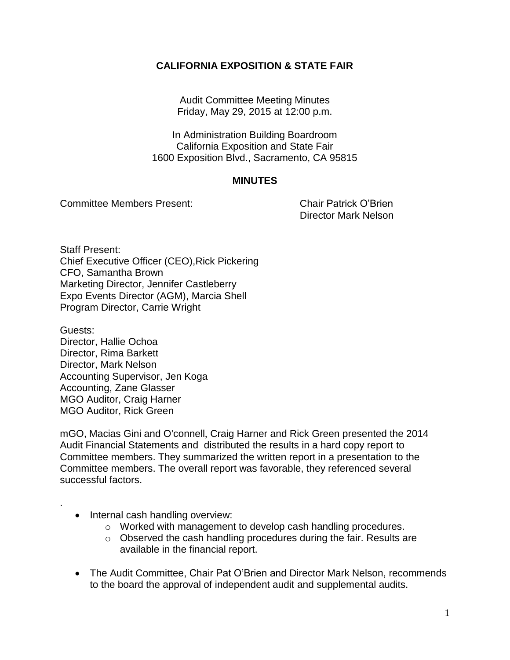## **CALIFORNIA EXPOSITION & STATE FAIR**

Audit Committee Meeting Minutes Friday, May 29, 2015 at 12:00 p.m.

In Administration Building Boardroom California Exposition and State Fair 1600 Exposition Blvd., Sacramento, CA 95815

## **MINUTES**

Committee Members Present: Chair Patrick O'Brien

Director Mark Nelson

Staff Present: Chief Executive Officer (CEO),Rick Pickering CFO, Samantha Brown Marketing Director, Jennifer Castleberry Expo Events Director (AGM), Marcia Shell Program Director, Carrie Wright

Guests: Director, Hallie Ochoa Director, Rima Barkett Director, Mark Nelson Accounting Supervisor, Jen Koga Accounting, Zane Glasser MGO Auditor, Craig Harner MGO Auditor, Rick Green

mGO, Macias Gini and O'connell, Craig Harner and Rick Green presented the 2014 Audit Financial Statements and distributed the results in a hard copy report to Committee members. They summarized the written report in a presentation to the Committee members. The overall report was favorable, they referenced several successful factors.

• Internal cash handling overview:

.

- o Worked with management to develop cash handling procedures.
- $\circ$  Observed the cash handling procedures during the fair. Results are available in the financial report.
- The Audit Committee, Chair Pat O'Brien and Director Mark Nelson, recommends to the board the approval of independent audit and supplemental audits.